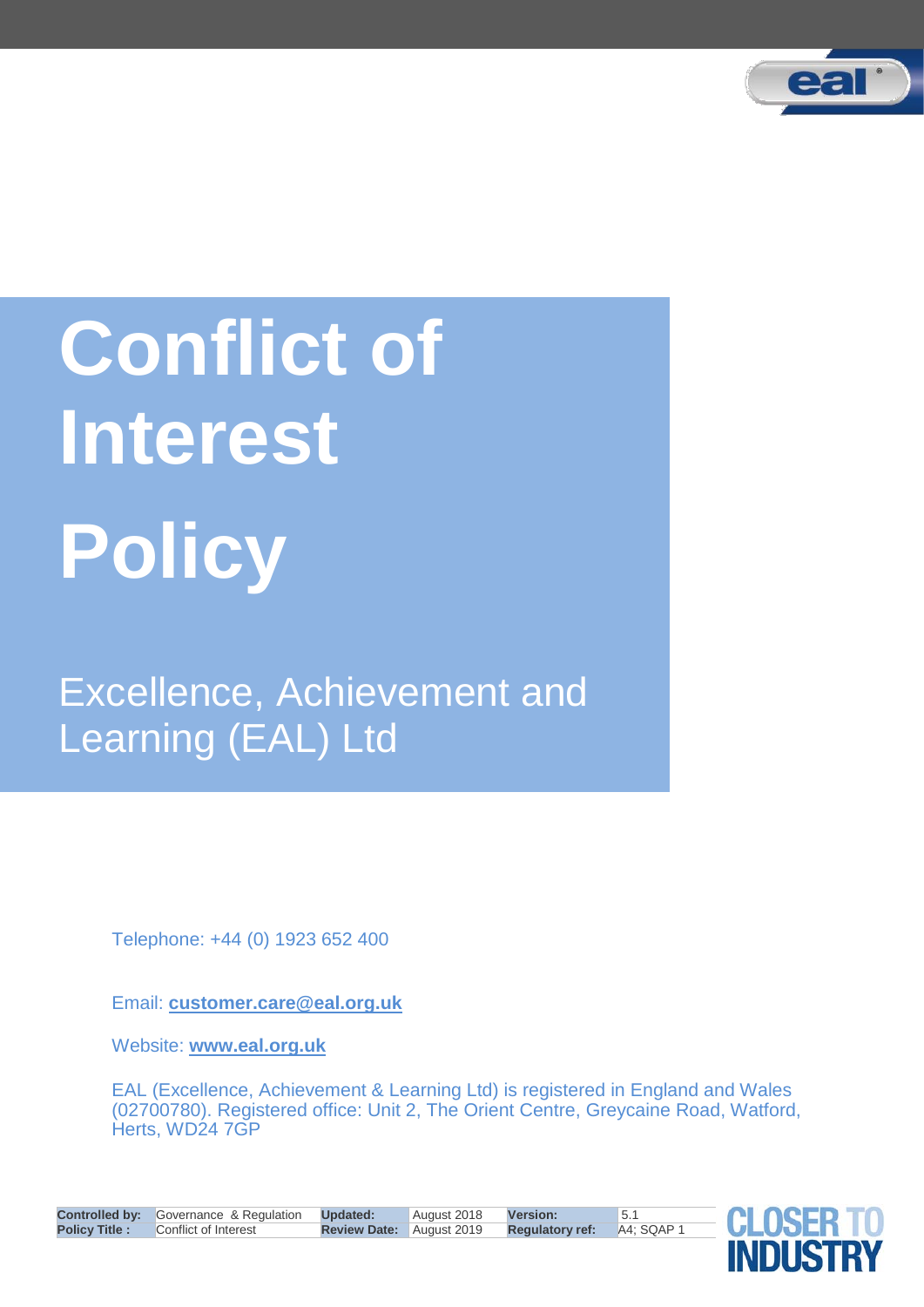

# **Conflict of Interest Policy**

Excellence, Achievement and Learning (EAL) Ltd

Telephone: +44 (0) 1923 652 400

Email: **customer.care@eal.org.uk**

Website: **www.eal.org.uk**

EAL (Excellence, Achievement & Learning Ltd) is registered in England and Wales (02700780). Registered office: Unit 2, The Orient Centre, Greycaine Road, Watford, Herts, WD24 7GP

|                      | <b>Controlled by:</b> Governance & Regulation <b>Updated:</b> |                                 | August 2018 <b>Version:</b> |                        | $\vert 5.1 \vert$ |
|----------------------|---------------------------------------------------------------|---------------------------------|-----------------------------|------------------------|-------------------|
| <b>Policy Title:</b> | Conflict of Interest                                          | <b>Review Date:</b> August 2019 |                             | <b>Regulatory ref:</b> | A4; SQAP 1        |

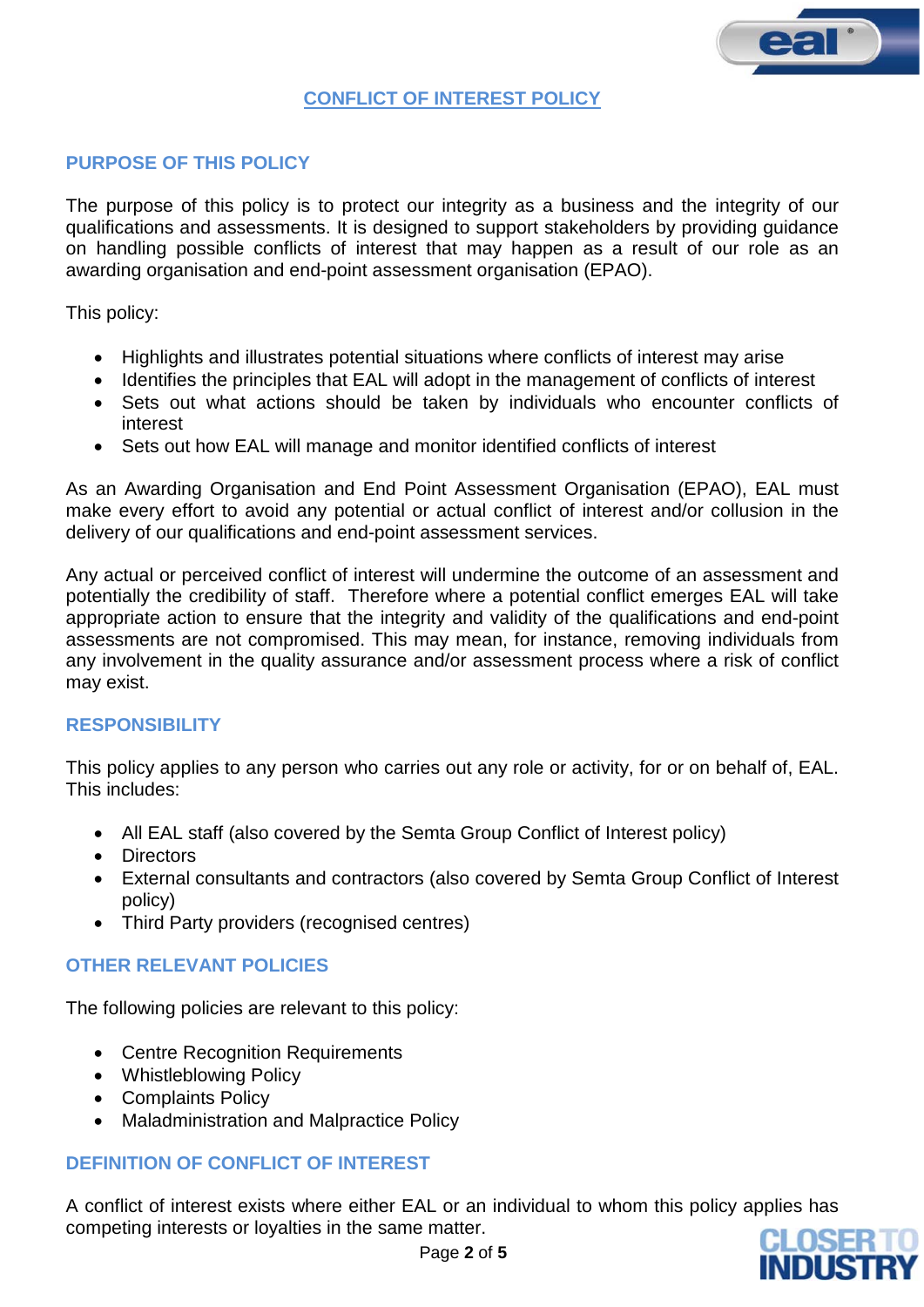## **PURPOSE OF THIS POLICY**

The purpose of this policy is to protect our integrity as a business and the integrity of our qualifications and assessments. It is designed to support stakeholders by providing guidance on handling possible conflicts of interest that may happen as a result of our role as an awarding organisation and end-point assessment organisation (EPAO).

This policy:

- Highlights and illustrates potential situations where conflicts of interest may arise
- Identifies the principles that EAL will adopt in the management of conflicts of interest
- Sets out what actions should be taken by individuals who encounter conflicts of interest
- Sets out how EAL will manage and monitor identified conflicts of interest

As an Awarding Organisation and End Point Assessment Organisation (EPAO), EAL must make every effort to avoid any potential or actual conflict of interest and/or collusion in the delivery of our qualifications and end-point assessment services.

Any actual or perceived conflict of interest will undermine the outcome of an assessment and potentially the credibility of staff. Therefore where a potential conflict emerges EAL will take appropriate action to ensure that the integrity and validity of the qualifications and end-point assessments are not compromised. This may mean, for instance, removing individuals from any involvement in the quality assurance and/or assessment process where a risk of conflict may exist.

## **RESPONSIBILITY**

This policy applies to any person who carries out any role or activity, for or on behalf of, EAL. This includes:

- All EAL staff (also covered by the Semta Group Conflict of Interest policy)
- Directors
- External consultants and contractors (also covered by Semta Group Conflict of Interest policy)
- Third Party providers (recognised centres)

## **OTHER RELEVANT POLICIES**

The following policies are relevant to this policy:

- Centre Recognition Requirements
- Whistleblowing Policy
- Complaints Policy
- Maladministration and Malpractice Policy

## **DEFINITION OF CONFLICT OF INTEREST**

A conflict of interest exists where either EAL or an individual to whom this policy applies has competing interests or loyalties in the same matter.

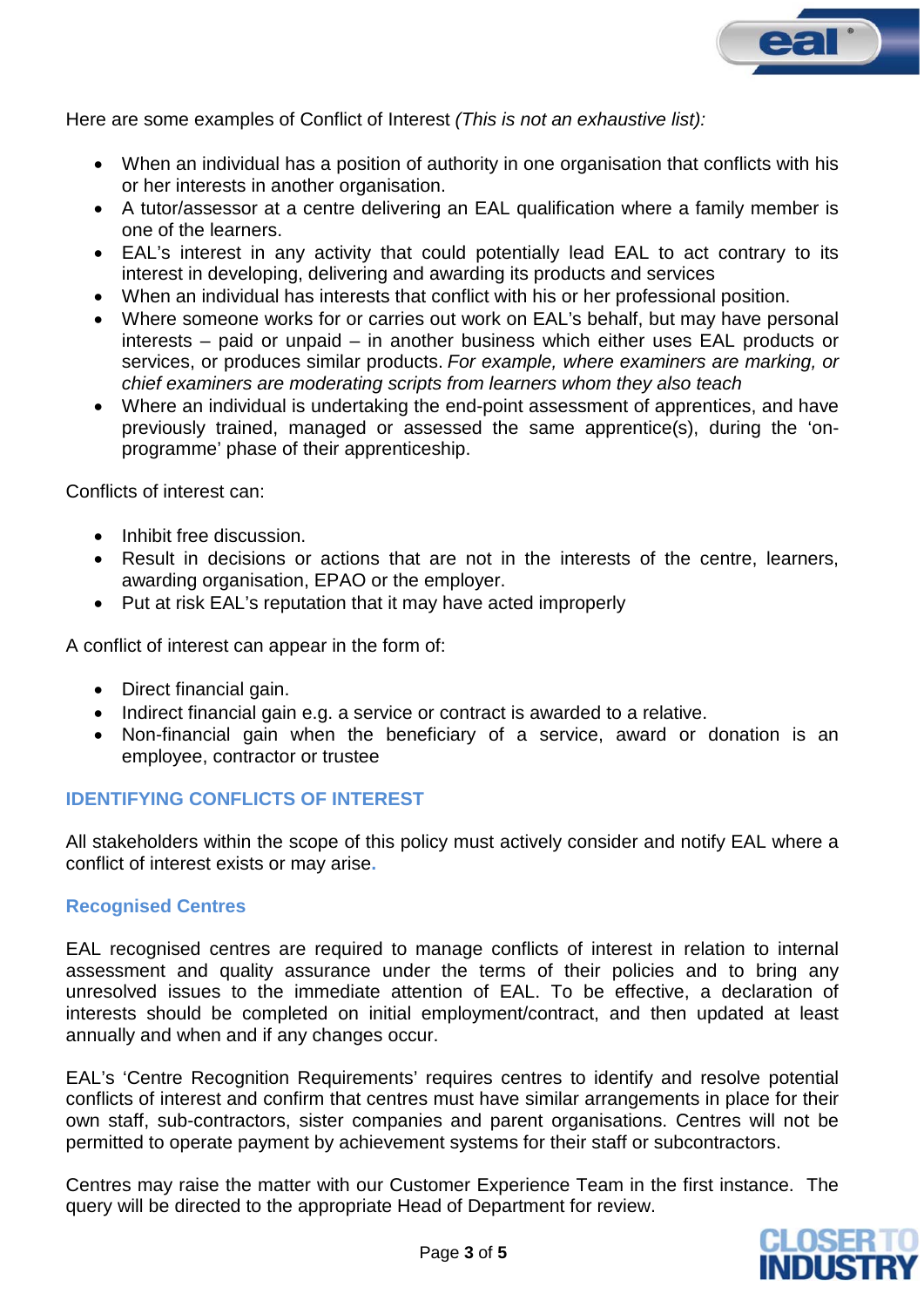

Here are some examples of Conflict of Interest *(This is not an exhaustive list):*

- When an individual has a position of authority in one organisation that conflicts with his or her interests in another organisation.
- A tutor/assessor at a centre delivering an EAL qualification where a family member is one of the learners.
- EAL's interest in any activity that could potentially lead EAL to act contrary to its interest in developing, delivering and awarding its products and services
- When an individual has interests that conflict with his or her professional position.
- Where someone works for or carries out work on EAL's behalf, but may have personal interests – paid or unpaid – in another business which either uses EAL products or services, or produces similar products. *For example, where examiners are marking, or chief examiners are moderating scripts from learners whom they also teach*
- Where an individual is undertaking the end-point assessment of apprentices, and have previously trained, managed or assessed the same apprentice(s), during the 'onprogramme' phase of their apprenticeship.

Conflicts of interest can:

- Inhibit free discussion.
- Result in decisions or actions that are not in the interests of the centre, learners, awarding organisation, EPAO or the employer.
- Put at risk EAL's reputation that it may have acted improperly

A conflict of interest can appear in the form of:

- Direct financial gain.
- Indirect financial gain e.g. a service or contract is awarded to a relative.
- Non-financial gain when the beneficiary of a service, award or donation is an employee, contractor or trustee

## **IDENTIFYING CONFLICTS OF INTEREST**

All stakeholders within the scope of this policy must actively consider and notify EAL where a conflict of interest exists or may arise**.**

#### **Recognised Centres**

EAL recognised centres are required to manage conflicts of interest in relation to internal assessment and quality assurance under the terms of their policies and to bring any unresolved issues to the immediate attention of EAL. To be effective, a declaration of interests should be completed on initial employment/contract, and then updated at least annually and when and if any changes occur.

EAL's 'Centre Recognition Requirements' requires centres to identify and resolve potential conflicts of interest and confirm that centres must have similar arrangements in place for their own staff, sub-contractors, sister companies and parent organisations. Centres will not be permitted to operate payment by achievement systems for their staff or subcontractors.

Centres may raise the matter with our Customer Experience Team in the first instance. The query will be directed to the appropriate Head of Department for review.

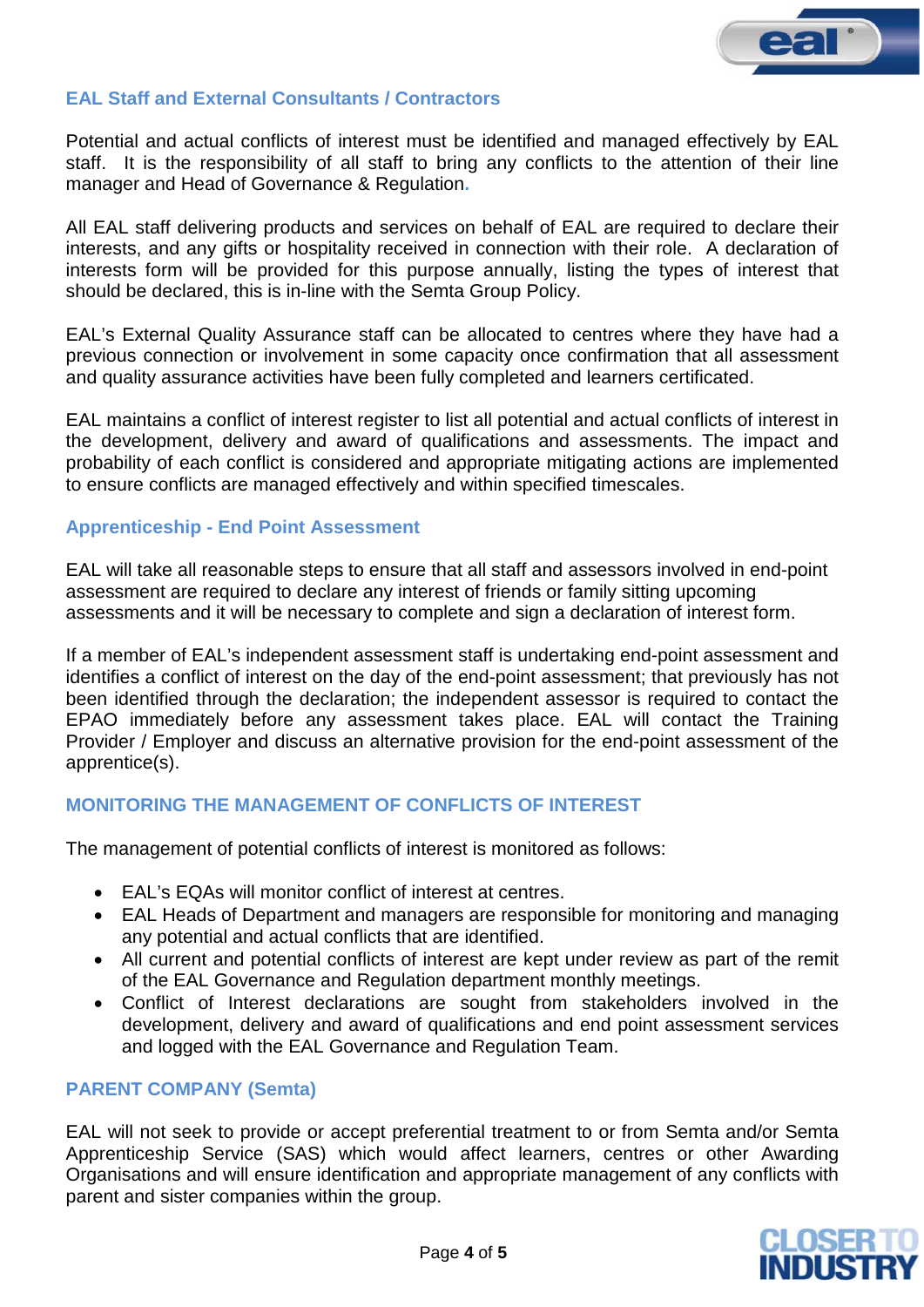

# **EAL Staff and External Consultants / Contractors**

Potential and actual conflicts of interest must be identified and managed effectively by EAL staff. It is the responsibility of all staff to bring any conflicts to the attention of their line manager and Head of Governance & Regulation**.**

All EAL staff delivering products and services on behalf of EAL are required to declare their interests, and any gifts or hospitality received in connection with their role. A declaration of interests form will be provided for this purpose annually, listing the types of interest that should be declared, this is in-line with the Semta Group Policy.

EAL's External Quality Assurance staff can be allocated to centres where they have had a previous connection or involvement in some capacity once confirmation that all assessment and quality assurance activities have been fully completed and learners certificated.

EAL maintains a conflict of interest register to list all potential and actual conflicts of interest in the development, delivery and award of qualifications and assessments. The impact and probability of each conflict is considered and appropriate mitigating actions are implemented to ensure conflicts are managed effectively and within specified timescales.

## **Apprenticeship - End Point Assessment**

EAL will take all reasonable steps to ensure that all staff and assessors involved in end-point assessment are required to declare any interest of friends or family sitting upcoming assessments and it will be necessary to complete and sign a declaration of interest form.

If a member of EAL's independent assessment staff is undertaking end-point assessment and identifies a conflict of interest on the day of the end-point assessment; that previously has not been identified through the declaration; the independent assessor is required to contact the EPAO immediately before any assessment takes place. EAL will contact the Training Provider / Employer and discuss an alternative provision for the end-point assessment of the apprentice(s).

# **MONITORING THE MANAGEMENT OF CONFLICTS OF INTEREST**

The management of potential conflicts of interest is monitored as follows:

- EAL's EQAs will monitor conflict of interest at centres.
- EAL Heads of Department and managers are responsible for monitoring and managing any potential and actual conflicts that are identified.
- All current and potential conflicts of interest are kept under review as part of the remit of the EAL Governance and Regulation department monthly meetings.
- Conflict of Interest declarations are sought from stakeholders involved in the development, delivery and award of qualifications and end point assessment services and logged with the EAL Governance and Regulation Team.

# **PARENT COMPANY (Semta)**

EAL will not seek to provide or accept preferential treatment to or from Semta and/or Semta Apprenticeship Service (SAS) which would affect learners, centres or other Awarding Organisations and will ensure identification and appropriate management of any conflicts with parent and sister companies within the group.